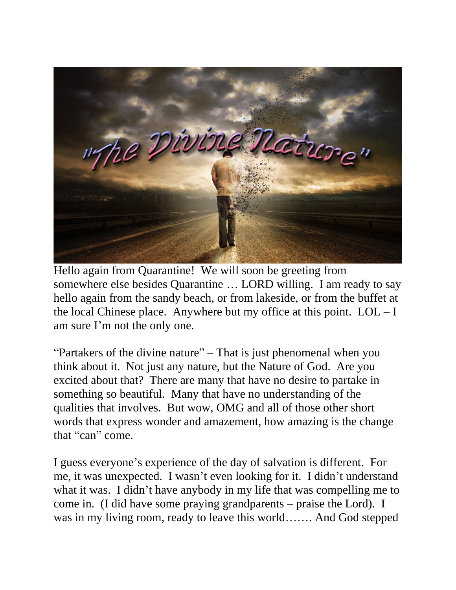

Hello again from Quarantine! We will soon be greeting from somewhere else besides Quarantine … LORD willing. I am ready to say hello again from the sandy beach, or from lakeside, or from the buffet at the local Chinese place. Anywhere but my office at this point.  $LOL-I$ am sure I'm not the only one.

"Partakers of the divine nature" – That is just phenomenal when you think about it. Not just any nature, but the Nature of God. Are you excited about that? There are many that have no desire to partake in something so beautiful. Many that have no understanding of the qualities that involves. But wow, OMG and all of those other short words that express wonder and amazement, how amazing is the change that "can" come.

I guess everyone's experience of the day of salvation is different. For me, it was unexpected. I wasn't even looking for it. I didn't understand what it was. I didn't have anybody in my life that was compelling me to come in. (I did have some praying grandparents – praise the Lord). I was in my living room, ready to leave this world……. And God stepped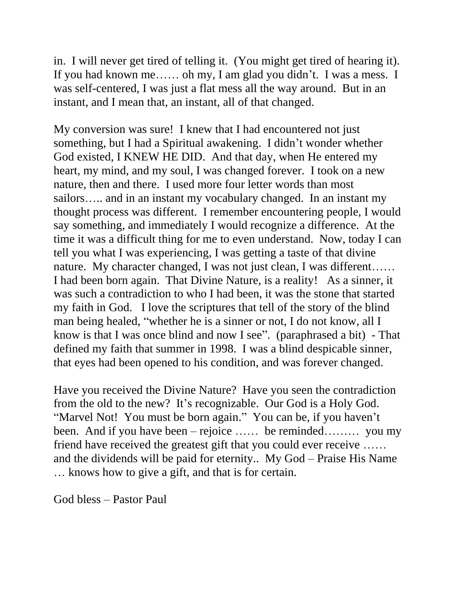in. I will never get tired of telling it. (You might get tired of hearing it). If you had known me…… oh my, I am glad you didn't. I was a mess. I was self-centered, I was just a flat mess all the way around. But in an instant, and I mean that, an instant, all of that changed.

My conversion was sure! I knew that I had encountered not just something, but I had a Spiritual awakening. I didn't wonder whether God existed, I KNEW HE DID. And that day, when He entered my heart, my mind, and my soul, I was changed forever. I took on a new nature, then and there. I used more four letter words than most sailors….. and in an instant my vocabulary changed. In an instant my thought process was different. I remember encountering people, I would say something, and immediately I would recognize a difference. At the time it was a difficult thing for me to even understand. Now, today I can tell you what I was experiencing, I was getting a taste of that divine nature. My character changed, I was not just clean, I was different…… I had been born again. That Divine Nature, is a reality! As a sinner, it was such a contradiction to who I had been, it was the stone that started my faith in God. I love the scriptures that tell of the story of the blind man being healed, "whether he is a sinner or not, I do not know, all I know is that I was once blind and now I see". (paraphrased a bit) - That defined my faith that summer in 1998. I was a blind despicable sinner, that eyes had been opened to his condition, and was forever changed.

Have you received the Divine Nature? Have you seen the contradiction from the old to the new? It's recognizable. Our God is a Holy God. "Marvel Not! You must be born again." You can be, if you haven't been. And if you have been – rejoice …… be reminded……… you my friend have received the greatest gift that you could ever receive …… and the dividends will be paid for eternity.. My God – Praise His Name … knows how to give a gift, and that is for certain.

God bless – Pastor Paul